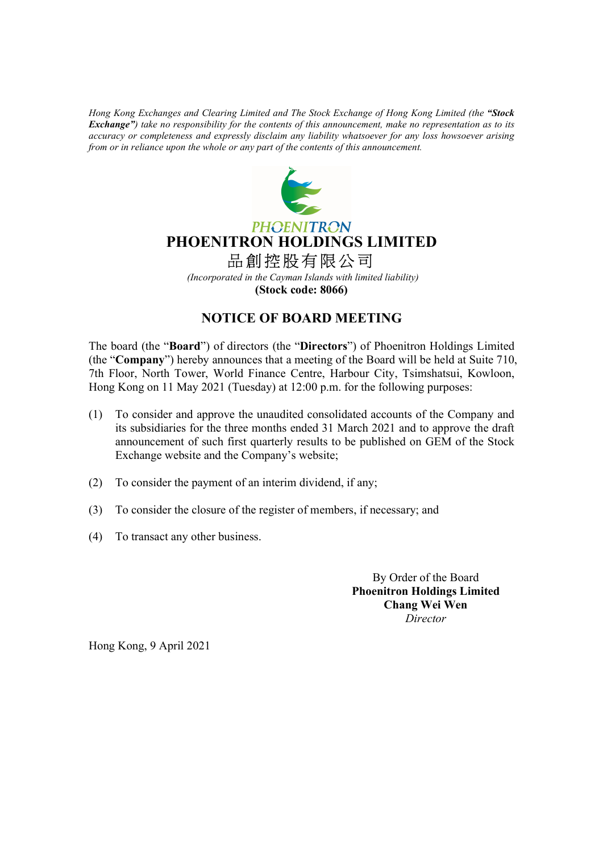Hong Kong Exchanges and Clearing Limited and The Stock Exchange of Hong Kong Limited (the "Stock Exchange") take no responsibility for the contents of this announcement, make no representation as to its accuracy or completeness and expressly disclaim any liability whatsoever for any loss howsoever arising from or in reliance upon the whole or any part of the contents of this announcement.



## **PHOENITRON** PHOENITRON HOLDINGS LIMITED 品創控股有限公司

(Incorporated in the Cayman Islands with limited liability) (Stock code: 8066)

## NOTICE OF BOARD MEETING

The board (the "Board") of directors (the "Directors") of Phoenitron Holdings Limited (the "Company") hereby announces that a meeting of the Board will be held at Suite 710, 7th Floor, North Tower, World Finance Centre, Harbour City, Tsimshatsui, Kowloon, Hong Kong on 11 May 2021 (Tuesday) at 12:00 p.m. for the following purposes:

- (1) To consider and approve the unaudited consolidated accounts of the Company and its subsidiaries for the three months ended 31 March 2021 and to approve the draft announcement of such first quarterly results to be published on GEM of the Stock Exchange website and the Company's website;
- (2) To consider the payment of an interim dividend, if any;
- (3) To consider the closure of the register of members, if necessary; and
- (4) To transact any other business.

 By Order of the Board Phoenitron Holdings Limited Chang Wei Wen Director

Hong Kong, 9 April 2021